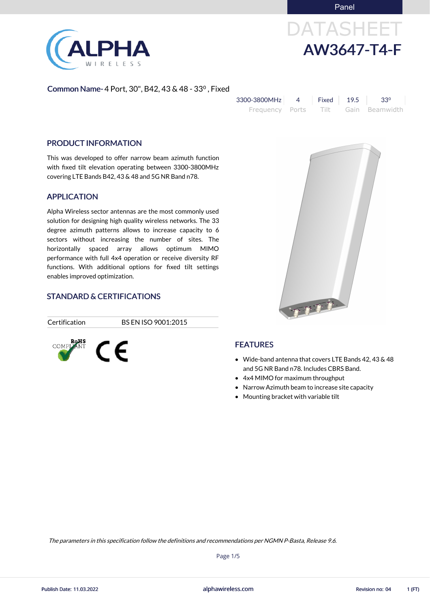Panel



# DATASHEET AW3647-T4-F

#### Common Name- 4 Port, 30", B42, 43 & 48 - 33⁰, Fixed

| 3300-3800MHz    | Fixed | 19.5 | $33^{\circ}$   |
|-----------------|-------|------|----------------|
| Frequency Ports | Tilt  |      | Gain Beamwidth |

#### PRODUCT INFORMATION

This was developed to offer narrow beam azimuth function with fixed tilt elevation operating between 3300-3800MHz covering LTE Bands B42, 43 & 48 and 5G NR Band n78.

#### APPLICATION

Alpha Wireless sector antennas are the most commonly used solution for designing high quality wireless networks. The 33 degree azimuth patterns allows to increase capacity to 6 sectors without increasing the number of sites. The horizontally spaced array allows optimum MIMO performance with full 4x4 operation or receive diversity RF functions. With additional options for fixed tilt settings enables improved optimization.

#### STANDARD & CERTIFICATIONS

Certification BS EN ISO 9001:2015



#### **FEATURES**

- Wide-band antenna that covers LTE Bands 42, 43 & 48 and 5G NR Band n78. Includes CBRS Band.
- 4x4 MIMO for maximum throughput
- Narrow Azimuth beam to increase site capacity
- Mounting bracket with variable tilt



Page 1/5

The parameters in this specification follow the definitions and recommendations per NGMN P-Basta, Release 9.6.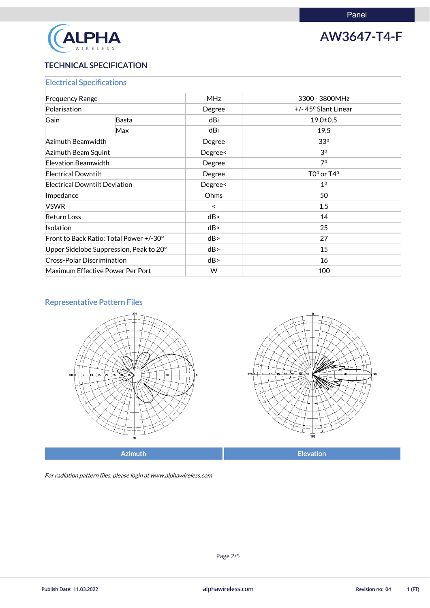

## AW3647-T4-F

### TECHNICAL SPECIFICATION

| <b>Electrical Specifications</b>        |                                  |            |                               |  |
|-----------------------------------------|----------------------------------|------------|-------------------------------|--|
| <b>Frequency Range</b>                  |                                  | <b>MHz</b> | 3300 - 3800MHz                |  |
| Polarisation                            |                                  | Degree     | $+/- 45^{\circ}$ Slant Linear |  |
| Gain                                    | <b>Basta</b>                     | dBi        | $19.0 \pm 0.5$                |  |
|                                         | Max                              | dBi        | 19.5                          |  |
| Azimuth Beamwidth                       |                                  | Degree     | 33 <sup>0</sup>               |  |
| Azimuth Beam Squint                     |                                  | Degree<    | 3 <sup>0</sup>                |  |
| Elevation Beamwidth                     |                                  | Degree     | 7 <sup>0</sup>                |  |
| <b>Electrical Downtilt</b>              |                                  | Degree     | $TO0$ or $T40$                |  |
| <b>Electrical Downtilt Deviation</b>    |                                  | Degree<    | 1 <sup>0</sup>                |  |
| Impedance                               |                                  | Ohms       | 50                            |  |
| <b>VSWR</b>                             |                                  | $\prec$    | 1.5                           |  |
| <b>Return Loss</b>                      |                                  | dB         | 14                            |  |
| Isolation                               |                                  | dB         | 25                            |  |
| Front to Back Ratio: Total Power +/-30° |                                  | dB         | 27                            |  |
| Upper Sidelobe Suppression, Peak to 20° |                                  | dB         | 15                            |  |
| <b>Cross-Polar Discrimination</b>       |                                  | dB         | 16                            |  |
|                                         | Maximum Effective Power Per Port | W          | 100                           |  |

### Representative Pattern Files





Azimuth **Elevation** 

For radiation pattern files, please login at www.alphawireless.com

alphawireless.com

Publish Date: 11.03.2022 **Revision no: 04** 1 (FT)

Page 2/5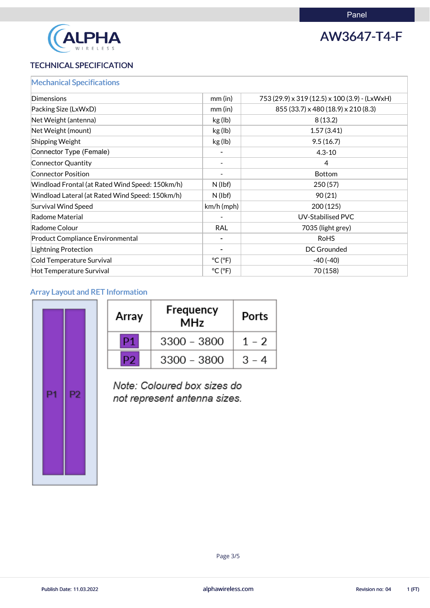

## AW3647-T4-F

### TECHNICAL SPECIFICATION

|  |  | <b>Mechanical Specifications</b> |
|--|--|----------------------------------|
|  |  |                                  |

| Dimensions                                      | $mm$ (in)                    | 753 (29.9) x 319 (12.5) x 100 (3.9) - (LxWxH) |
|-------------------------------------------------|------------------------------|-----------------------------------------------|
| Packing Size (LxWxD)                            | mm (in)                      | 855 (33.7) x 480 (18.9) x 210 (8.3)           |
| Net Weight (antenna)                            | kg (lb)                      | 8(13.2)                                       |
| Net Weight (mount)                              | kg (lb)                      | 1.57(3.41)                                    |
| <b>Shipping Weight</b>                          | kg (lb)                      | 9.5(16.7)                                     |
| Connector Type (Female)                         |                              | $4.3 - 10$                                    |
| Connector Quantity                              |                              | $\overline{4}$                                |
| <b>Connector Position</b>                       |                              | <b>Bottom</b>                                 |
| Windload Frontal (at Rated Wind Speed: 150km/h) | $N$ (lbf)                    | 250(57)                                       |
| Windload Lateral (at Rated Wind Speed: 150km/h) | $N$ (lbf)                    | 90(21)                                        |
| <b>Survival Wind Speed</b>                      | $km/h$ (mph)                 | 200 (125)                                     |
| Radome Material                                 |                              | <b>UV-Stabilised PVC</b>                      |
| Radome Colour                                   | <b>RAL</b>                   | 7035 (light grey)                             |
| <b>Product Compliance Environmental</b>         |                              | <b>RoHS</b>                                   |
| <b>Lightning Protection</b>                     |                              | <b>DC Grounded</b>                            |
| Cold Temperature Survival                       | $^{\circ}$ C ( $^{\circ}$ F) | $-40(-40)$                                    |
| Hot Temperature Survival                        | $^{\circ}$ C ( $^{\circ}$ F) | 70 (158)                                      |

### Array Layout and RET Information

| P <sub>1</sub><br>P <sub>2</sub> |
|----------------------------------|
|----------------------------------|

| Array | Frequency<br><b>MHz</b> | Ports   |
|-------|-------------------------|---------|
|       | $3300 - 3800$           | $1 - 2$ |
| כי    | $3300 - 3800$           | $3 - 4$ |

Note: Coloured box sizes do not represent antenna sizes.



alphawireless.com

Publish Date: 11.03.2022 **Revision no: 04** 1 (FT)

Page 3/5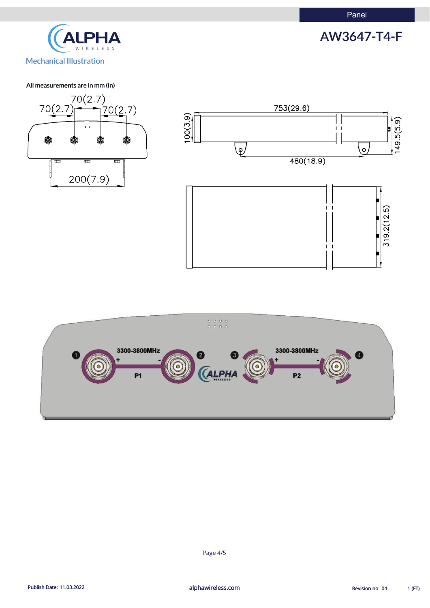Panel





#### All measurements are in mm (in)







Page 4/5